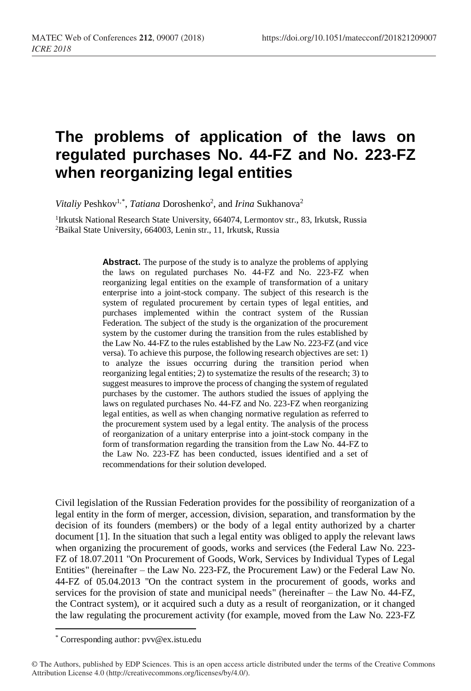## **The problems of application of the laws on regulated purchases No. 44-FZ and No. 223-FZ when reorganizing legal entities**

Vitaliy Peshkov<sup>1,\*</sup>, *Tatiana* Doroshenko<sup>2</sup>, and *Irina* Sukhanova<sup>2</sup>

<sup>1</sup> Irkutsk National Research State University, 664074, Lermontov str., 83, Irkutsk, Russia <sup>2</sup>Baikal State University, 664003, Lenin str., 11, Irkutsk, Russia

> **Abstract.** The purpose of the study is to analyze the problems of applying the laws on regulated purchases No. 44-FZ and No. 223-FZ when reorganizing legal entities on the example of transformation of a unitary enterprise into a joint-stock company. The subject of this research is the system of regulated procurement by certain types of legal entities, and purchases implemented within the contract system of the Russian Federation. The subject of the study is the organization of the procurement system by the customer during the transition from the rules established by the Law No. 44-FZ to the rules established by the Law No. 223-FZ (and vice versa). To achieve this purpose, the following research objectives are set: 1) to analyze the issues occurring during the transition period when reorganizing legal entities; 2) to systematize the results of the research; 3) to suggest measures to improve the process of changing the system of regulated purchases by the customer. The authors studied the issues of applying the laws on regulated purchases No. 44-FZ and No. 223-FZ when reorganizing legal entities, as well as when changing normative regulation as referred to the procurement system used by a legal entity. The analysis of the process of reorganization of a unitary enterprise into a joint-stock company in the form of transformation regarding the transition from the Law No. 44-FZ to the Law No. 223-FZ has been conducted, issues identified and a set of recommendations for their solution developed.

Civil legislation of the Russian Federation provides for the possibility of reorganization of a legal entity in the form of merger, accession, division, separation, and transformation by the decision of its founders (members) or the body of a legal entity authorized by a charter document [1]. In the situation that such a legal entity was obliged to apply the relevant laws when organizing the procurement of goods, works and services (the Federal Law No. 223- FZ of 18.07.2011 "On Procurement of Goods, Work, Services by Individual Types of Legal Entities" (hereinafter – the Law No. 223-FZ, the Procurement Law) or the Federal Law No. 44-FZ of 05.04.2013 "On the contract system in the procurement of goods, works and services for the provision of state and municipal needs" (hereinafter – the Law No. 44-FZ, the Contract system), or it acquired such a duty as a result of reorganization, or it changed the law regulating the procurement activity (for example, moved from the Law No. 223-FZ

l

<sup>\*</sup> Corresponding author: pvv@ex.istu.edu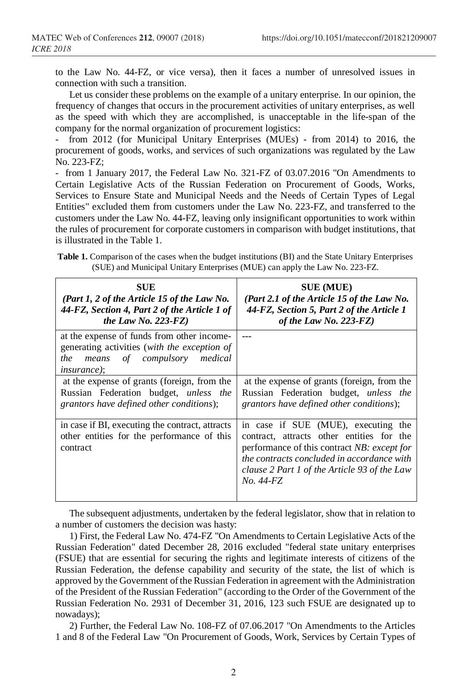to the Law No. 44-FZ, or vice versa), then it faces a number of unresolved issues in connection with such a transition.

Let us consider these problems on the example of a unitary enterprise. In our opinion, the frequency of changes that occurs in the procurement activities of unitary enterprises, as well as the speed with which they are accomplished, is unacceptable in the life-span of the company for the normal organization of procurement logistics:

- from 2012 (for Municipal Unitary Enterprises (MUEs) - from 2014) to 2016, the procurement of goods, works, and services of such organizations was regulated by the Law No. 223-FZ;

- from 1 January 2017, the Federal Law No. 321-FZ of 03.07.2016 "On Amendments to Certain Legislative Acts of the Russian Federation on Procurement of Goods, Works, Services to Ensure State and Municipal Needs and the Needs of Certain Types of Legal Entities" excluded them from customers under the Law No. 223-FZ, and transferred to the customers under the Law No. 44-FZ, leaving only insignificant opportunities to work within the rules of procurement for corporate customers in comparison with budget institutions, that is illustrated in the Table 1.

**Table 1.** Comparison of the cases when the budget institutions (BI) and the State Unitary Enterprises (SUE) and Municipal Unitary Enterprises (MUE) can apply the Law No. 223-FZ.

| <b>SUE</b>                                                                                                                                              | <b>SUE (MUE)</b>                                                                                                                                                                                                                           |
|---------------------------------------------------------------------------------------------------------------------------------------------------------|--------------------------------------------------------------------------------------------------------------------------------------------------------------------------------------------------------------------------------------------|
| (Part 1, 2 of the Article 15 of the Law No.                                                                                                             | (Part 2.1 of the Article 15 of the Law No.                                                                                                                                                                                                 |
| 44-FZ, Section 4, Part 2 of the Article 1 of                                                                                                            | 44-FZ, Section 5, Part 2 of the Article 1                                                                                                                                                                                                  |
| the Law No. 223-FZ)                                                                                                                                     | of the Law No. $223$ -FZ)                                                                                                                                                                                                                  |
| at the expense of funds from other income-<br>generating activities (with the exception of<br>means of compulsory medical<br>the<br><i>insurance</i> ); |                                                                                                                                                                                                                                            |
| at the expense of grants (foreign, from the                                                                                                             | at the expense of grants (foreign, from the                                                                                                                                                                                                |
| Russian Federation budget, <i>unless the</i>                                                                                                            | Russian Federation budget, <i>unless the</i>                                                                                                                                                                                               |
| grantors have defined other conditions);                                                                                                                | grantors have defined other conditions);                                                                                                                                                                                                   |
| in case if BI, executing the contract, attracts<br>other entities for the performance of this<br>contract                                               | in case if SUE (MUE), executing the<br>contract, attracts other entities for the<br>performance of this contract NB: except for<br>the contracts concluded in accordance with<br>clause 2 Part 1 of the Article 93 of the Law<br>No. 44-FZ |

The subsequent adjustments, undertaken by the federal legislator, show that in relation to a number of customers the decision was hasty:

1) First, the Federal Law No. 474-FZ "On Amendments to Certain Legislative Acts of the Russian Federation" dated December 28, 2016 excluded "federal state unitary enterprises (FSUE) that are essential for securing the rights and legitimate interests of citizens of the Russian Federation, the defense capability and security of the state, the list of which is approved by the Government of the Russian Federation in agreement with the Administration of the President of the Russian Federation" (according to the Order of the Government of the Russian Federation No. 2931 of December 31, 2016, 123 such FSUE are designated up to nowadays);

2) Further, the Federal Law No. 108-FZ of 07.06.2017 "On Amendments to the Articles 1 and 8 of the Federal Law "On Procurement of Goods, Work, Services by Certain Types of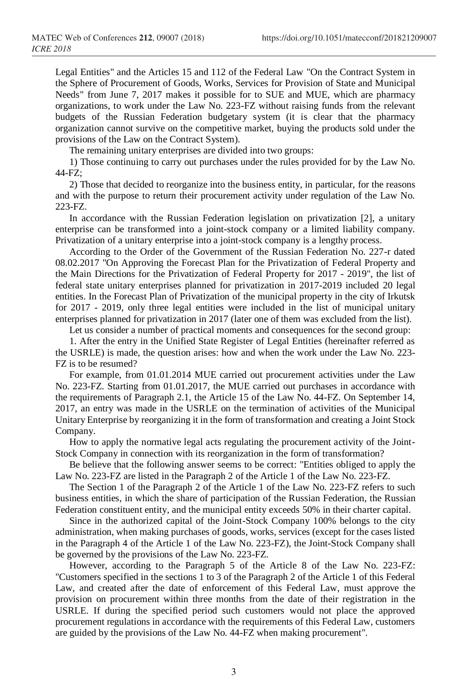Legal Entities" and the Articles 15 and 112 of the Federal Law "On the Contract System in the Sphere of Procurement of Goods, Works, Services for Provision of State and Municipal Needs" from June 7, 2017 makes it possible for to SUE and MUE, which are pharmacy organizations, to work under the Law No. 223-FZ without raising funds from the relevant budgets of the Russian Federation budgetary system (it is clear that the pharmacy organization cannot survive on the competitive market, buying the products sold under the provisions of the Law on the Contract System).

The remaining unitary enterprises are divided into two groups:

1) Those continuing to carry out purchases under the rules provided for by the Law No. 44-FZ;

2) Those that decided to reorganize into the business entity, in particular, for the reasons and with the purpose to return their procurement activity under regulation of the Law No. 223-FZ.

In accordance with the Russian Federation legislation on privatization [2], a unitary enterprise can be transformed into a joint-stock company or a limited liability company. Privatization of a unitary enterprise into a joint-stock company is a lengthy process.

According to the Order of the Government of the Russian Federation No. 227-r dated 08.02.2017 "On Approving the Forecast Plan for the Privatization of Federal Property and the Main Directions for the Privatization of Federal Property for 2017 - 2019", the list of federal state unitary enterprises planned for privatization in 2017-2019 included 20 legal entities. In the Forecast Plan of Privatization of the municipal property in the city of Irkutsk for 2017 - 2019, only three legal entities were included in the list of municipal unitary enterprises planned for privatization in 2017 (later one of them was excluded from the list).

Let us consider a number of practical moments and consequences for the second group:

1. After the entry in the Unified State Register of Legal Entities (hereinafter referred as the USRLE) is made, the question arises: how and when the work under the Law No. 223- FZ is to be resumed?

For example, from 01.01.2014 MUE carried out procurement activities under the Law No. 223-FZ. Starting from 01.01.2017, the MUE carried out purchases in accordance with the requirements of Paragraph 2.1, the Article 15 of the Law No. 44-FZ. On September 14, 2017, an entry was made in the USRLE on the termination of activities of the Municipal Unitary Enterprise by reorganizing it in the form of transformation and creating a Joint Stock Company.

How to apply the normative legal acts regulating the procurement activity of the Joint-Stock Company in connection with its reorganization in the form of transformation?

Be believe that the following answer seems to be correct: "Entities obliged to apply the Law No. 223-FZ are listed in the Paragraph 2 of the Article 1 of the Law No. 223-FZ.

The Section 1 of the Paragraph 2 of the Article 1 of the Law No. 223-FZ refers to such business entities, in which the share of participation of the Russian Federation, the Russian Federation constituent entity, and the municipal entity exceeds 50% in their charter capital.

Since in the authorized capital of the Joint-Stock Company 100% belongs to the city administration, when making purchases of goods, works, services (except for the cases listed in the Paragraph 4 of the Article 1 of the Law No. 223-FZ), the Joint-Stock Company shall be governed by the provisions of the Law No. 223-FZ.

However, according to the Paragraph 5 of the Article 8 of the Law No. 223-FZ: "Customers specified in the sections 1 to 3 of the Paragraph 2 of the Article 1 of this Federal Law, and created after the date of enforcement of this Federal Law, must approve the provision on procurement within three months from the date of their registration in the USRLE. If during the specified period such customers would not place the approved procurement regulations in accordance with the requirements of this Federal Law, customers are guided by the provisions of the Law No. 44-FZ when making procurement".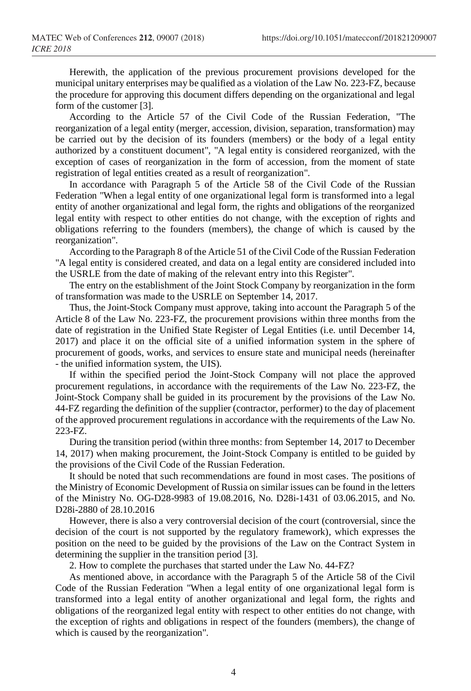Herewith, the application of the previous procurement provisions developed for the municipal unitary enterprises may be qualified as a violation of the Law No. 223-FZ, because the procedure for approving this document differs depending on the organizational and legal form of the customer [3].

According to the Article 57 of the Civil Code of the Russian Federation, "The reorganization of a legal entity (merger, accession, division, separation, transformation) may be carried out by the decision of its founders (members) or the body of a legal entity authorized by a constituent document", "A legal entity is considered reorganized, with the exception of cases of reorganization in the form of accession, from the moment of state registration of legal entities created as a result of reorganization".

In accordance with Paragraph 5 of the Article 58 of the Civil Code of the Russian Federation "When a legal entity of one organizational legal form is transformed into a legal entity of another organizational and legal form, the rights and obligations of the reorganized legal entity with respect to other entities do not change, with the exception of rights and obligations referring to the founders (members), the change of which is caused by the reorganization".

According to the Paragraph 8 of the Article 51 of the Civil Code of the Russian Federation "A legal entity is considered created, and data on a legal entity are considered included into the USRLE from the date of making of the relevant entry into this Register".

The entry on the establishment of the Joint Stock Company by reorganization in the form of transformation was made to the USRLE on September 14, 2017.

Thus, the Joint-Stock Company must approve, taking into account the Paragraph 5 of the Article 8 of the Law No. 223-FZ, the procurement provisions within three months from the date of registration in the Unified State Register of Legal Entities (i.e. until December 14, 2017) and place it on the official site of a unified information system in the sphere of procurement of goods, works, and services to ensure state and municipal needs (hereinafter - the unified information system, the UIS).

If within the specified period the Joint-Stock Company will not place the approved procurement regulations, in accordance with the requirements of the Law No. 223-FZ, the Joint-Stock Company shall be guided in its procurement by the provisions of the Law No. 44-FZ regarding the definition of the supplier (contractor, performer) to the day of placement of the approved procurement regulations in accordance with the requirements of the Law No. 223-FZ.

During the transition period (within three months: from September 14, 2017 to December 14, 2017) when making procurement, the Joint-Stock Company is entitled to be guided by the provisions of the Civil Code of the Russian Federation.

It should be noted that such recommendations are found in most cases. The positions of the Ministry of Economic Development of Russia on similar issues can be found in the letters of the Ministry No. OG-D28-9983 of 19.08.2016, No. D28i-1431 of 03.06.2015, and No. D28i-2880 of 28.10.2016

However, there is also a very controversial decision of the court (controversial, since the decision of the court is not supported by the regulatory framework), which expresses the position on the need to be guided by the provisions of the Law on the Contract System in determining the supplier in the transition period [3].

2. How to complete the purchases that started under the Law No. 44-FZ?

As mentioned above, in accordance with the Paragraph 5 of the Article 58 of the Civil Code of the Russian Federation "When a legal entity of one organizational legal form is transformed into a legal entity of another organizational and legal form, the rights and obligations of the reorganized legal entity with respect to other entities do not change, with the exception of rights and obligations in respect of the founders (members), the change of which is caused by the reorganization".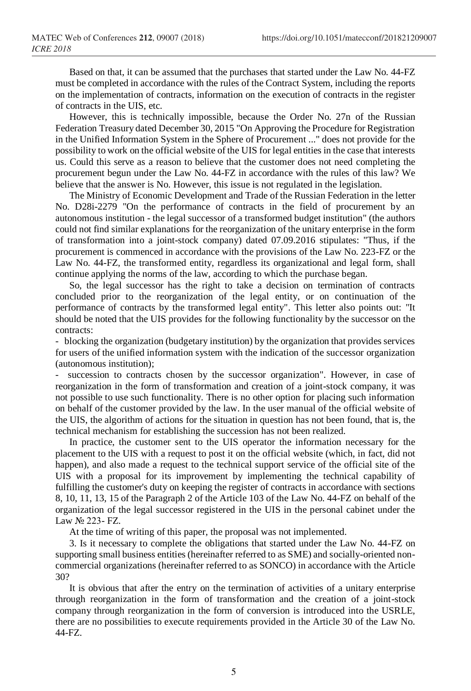Based on that, it can be assumed that the purchases that started under the Law No. 44-FZ must be completed in accordance with the rules of the Contract System, including the reports on the implementation of contracts, information on the execution of contracts in the register of contracts in the UIS, etc.

However, this is technically impossible, because the Order No. 27n of the Russian Federation Treasury dated December 30, 2015 "On Approving the Procedure for Registration in the Unified Information System in the Sphere of Procurement ..." does not provide for the possibility to work on the official website of the UIS for legal entities in the case that interests us. Could this serve as a reason to believe that the customer does not need completing the procurement begun under the Law No. 44-FZ in accordance with the rules of this law? We believe that the answer is No. However, this issue is not regulated in the legislation.

The Ministry of Economic Development and Trade of the Russian Federation in the letter No. D28i-2279 "On the performance of contracts in the field of procurement by an autonomous institution - the legal successor of a transformed budget institution" (the authors could not find similar explanations for the reorganization of the unitary enterprise in the form of transformation into a joint-stock company) dated 07.09.2016 stipulates: "Thus, if the procurement is commenced in accordance with the provisions of the Law No. 223-FZ or the Law No. 44-FZ, the transformed entity, regardless its organizational and legal form, shall continue applying the norms of the law, according to which the purchase began.

So, the legal successor has the right to take a decision on termination of contracts concluded prior to the reorganization of the legal entity, or on continuation of the performance of contracts by the transformed legal entity". This letter also points out: "It should be noted that the UIS provides for the following functionality by the successor on the contracts:

- blocking the organization (budgetary institution) by the organization that provides services for users of the unified information system with the indication of the successor organization (autonomous institution);

succession to contracts chosen by the successor organization". However, in case of reorganization in the form of transformation and creation of a joint-stock company, it was not possible to use such functionality. There is no other option for placing such information on behalf of the customer provided by the law. In the user manual of the official website of the UIS, the algorithm of actions for the situation in question has not been found, that is, the technical mechanism for establishing the succession has not been realized.

In practice, the customer sent to the UIS operator the information necessary for the placement to the UIS with a request to post it on the official website (which, in fact, did not happen), and also made a request to the technical support service of the official site of the UIS with a proposal for its improvement by implementing the technical capability of fulfilling the customer's duty on keeping the register of contracts in accordance with sections 8, 10, 11, 13, 15 of the Paragraph 2 of the Article 103 of the Law No. 44-FZ on behalf of the organization of the legal successor registered in the UIS in the personal cabinet under the Law № 223- FZ.

At the time of writing of this paper, the proposal was not implemented.

3. Is it necessary to complete the obligations that started under the Law No. 44-FZ on supporting small business entities (hereinafter referred to as SME) and socially-oriented noncommercial organizations (hereinafter referred to as SONCO) in accordance with the Article 30?

It is obvious that after the entry on the termination of activities of a unitary enterprise through reorganization in the form of transformation and the creation of a joint-stock company through reorganization in the form of conversion is introduced into the USRLE, there are no possibilities to execute requirements provided in the Article 30 of the Law No. 44-FZ.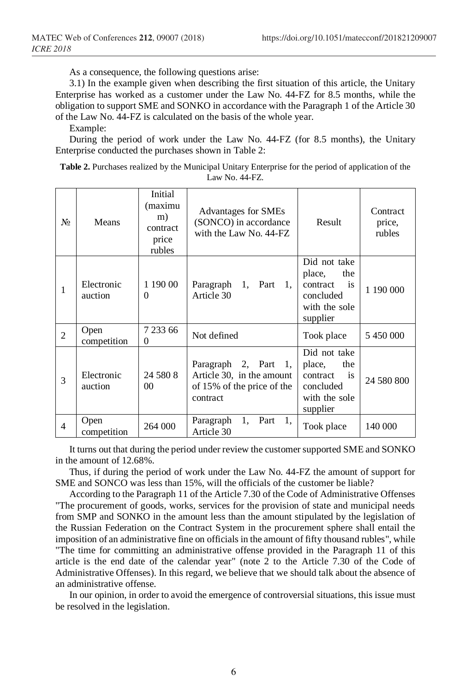As a consequence, the following questions arise:

3.1) In the example given when describing the first situation of this article, the Unitary Enterprise has worked as a customer under the Law No. 44-FZ for 8.5 months, while the obligation to support SME and SONKO in accordance with the Paragraph 1 of the Article 30 of the Law No. 44-FZ is calculated on the basis of the whole year.

Example:

During the period of work under the Law No. 44-FZ (for 8.5 months), the Unitary Enterprise conducted the purchases shown in Table 2:

| N <sub>2</sub> | Means                 | Initial<br>(maximu<br>m)<br>contract<br>price<br>rubles | <b>Advantages for SMEs</b><br>(SONCO) in accordance<br>with the Law No. 44-FZ               | Result                                                                                    | Contract<br>price,<br>rubles |
|----------------|-----------------------|---------------------------------------------------------|---------------------------------------------------------------------------------------------|-------------------------------------------------------------------------------------------|------------------------------|
| 1              | Electronic<br>auction | 1 190 00<br>0                                           | Paragraph<br>1, Part<br>1.<br>Article 30                                                    | Did not take<br>the<br>place,<br>is<br>contract<br>concluded<br>with the sole<br>supplier | 1 190 000                    |
| $\overline{2}$ | Open<br>competition   | 7 233 66<br>$\Omega$                                    | Not defined                                                                                 | Took place                                                                                | 5 450 000                    |
| 3              | Electronic<br>auction | 24 580 8<br>00 <sup>1</sup>                             | Paragraph 2, Part 1,<br>Article 30, in the amount<br>of 15% of the price of the<br>contract | Did not take<br>the<br>place,<br>is<br>contract<br>concluded<br>with the sole<br>supplier | 24 580 800                   |
| 4              | Open<br>competition   | 264 000                                                 | 1,<br>1.<br>Paragraph<br>Part<br>Article 30                                                 | Took place                                                                                | 140 000                      |

**Table 2.** Purchases realized by the Municipal Unitary Enterprise for the period of application of the Law No. 44-FZ.

It turns out that during the period under review the customer supported SME and SONKO in the amount of 12.68%.

Thus, if during the period of work under the Law No. 44-FZ the amount of support for SME and SONCO was less than 15%, will the officials of the customer be liable?

According to the Paragraph 11 of the Article 7.30 of the Code of Administrative Offenses "The procurement of goods, works, services for the provision of state and municipal needs from SMP and SONKO in the amount less than the amount stipulated by the legislation of the Russian Federation on the Contract System in the procurement sphere shall entail the imposition of an administrative fine on officials in the amount of fifty thousand rubles", while "The time for committing an administrative offense provided in the Paragraph 11 of this article is the end date of the calendar year" (note 2 to the Article 7.30 of the Code of Administrative Offenses). In this regard, we believe that we should talk about the absence of an administrative offense.

In our opinion, in order to avoid the emergence of controversial situations, this issue must be resolved in the legislation.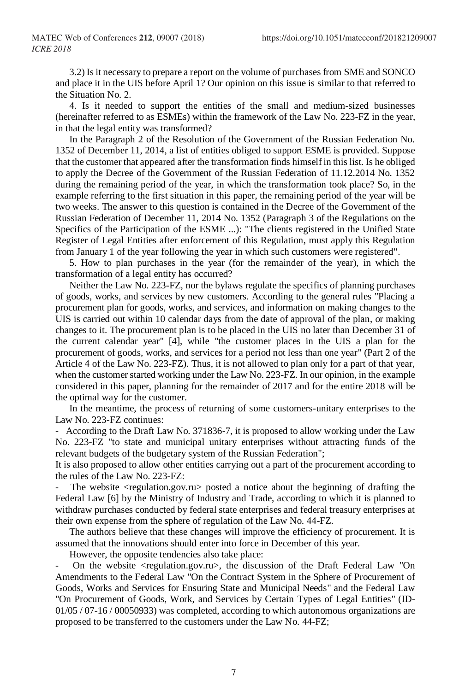3.2) Is it necessary to prepare a report on the volume of purchases from SME and SONCO and place it in the UIS before April 1? Our opinion on this issue is similar to that referred to the Situation No. 2.

4. Is it needed to support the entities of the small and medium-sized businesses (hereinafter referred to as ESMEs) within the framework of the Law No. 223-FZ in the year, in that the legal entity was transformed?

In the Paragraph 2 of the Resolution of the Government of the Russian Federation No. 1352 of December 11, 2014, a list of entities obliged to support ESME is provided. Suppose that the customer that appeared after the transformation finds himself in this list. Is he obliged to apply the Decree of the Government of the Russian Federation of 11.12.2014 No. 1352 during the remaining period of the year, in which the transformation took place? So, in the example referring to the first situation in this paper, the remaining period of the year will be two weeks. The answer to this question is contained in the Decree of the Government of the Russian Federation of December 11, 2014 No. 1352 (Paragraph 3 of the Regulations on the Specifics of the Participation of the ESME ...): "The clients registered in the Unified State Register of Legal Entities after enforcement of this Regulation, must apply this Regulation from January 1 of the year following the year in which such customers were registered".

5. How to plan purchases in the year (for the remainder of the year), in which the transformation of a legal entity has occurred?

Neither the Law No. 223-FZ, nor the bylaws regulate the specifics of planning purchases of goods, works, and services by new customers. According to the general rules "Placing a procurement plan for goods, works, and services, and information on making changes to the UIS is carried out within 10 calendar days from the date of approval of the plan, or making changes to it. The procurement plan is to be placed in the UIS no later than December 31 of the current calendar year" [4], while "the customer places in the UIS a plan for the procurement of goods, works, and services for a period not less than one year" (Part 2 of the Article 4 of the Law No. 223-FZ). Thus, it is not allowed to plan only for a part of that year, when the customer started working under the Law No. 223-FZ. In our opinion, in the example considered in this paper, planning for the remainder of 2017 and for the entire 2018 will be the optimal way for the customer.

In the meantime, the process of returning of some customers-unitary enterprises to the Law No. 223-FZ continues:

- According to the Draft Law No. 371836-7, it is proposed to allow working under the Law No. 223-FZ "to state and municipal unitary enterprises without attracting funds of the relevant budgets of the budgetary system of the Russian Federation";

It is also proposed to allow other entities carrying out a part of the procurement according to the rules of the Law No. 223-FZ:

The website  $\leq$  regulation.gov.ru $\geq$  posted a notice about the beginning of drafting the Federal Law [6] by the Ministry of Industry and Trade, according to which it is planned to withdraw purchases conducted by federal state enterprises and federal treasury enterprises at their own expense from the sphere of regulation of the Law No. 44-FZ.

The authors believe that these changes will improve the efficiency of procurement. It is assumed that the innovations should enter into force in December of this year.

However, the opposite tendencies also take place:

- On the website <regulation.gov.ru>, the discussion of the Draft Federal Law "On Amendments to the Federal Law "On the Contract System in the Sphere of Procurement of Goods, Works and Services for Ensuring State and Municipal Needs" and the Federal Law "On Procurement of Goods, Work, and Services by Certain Types of Legal Entities" (ID-01/05 / 07-16 / 00050933) was completed, according to which autonomous organizations are proposed to be transferred to the customers under the Law No. 44-FZ;